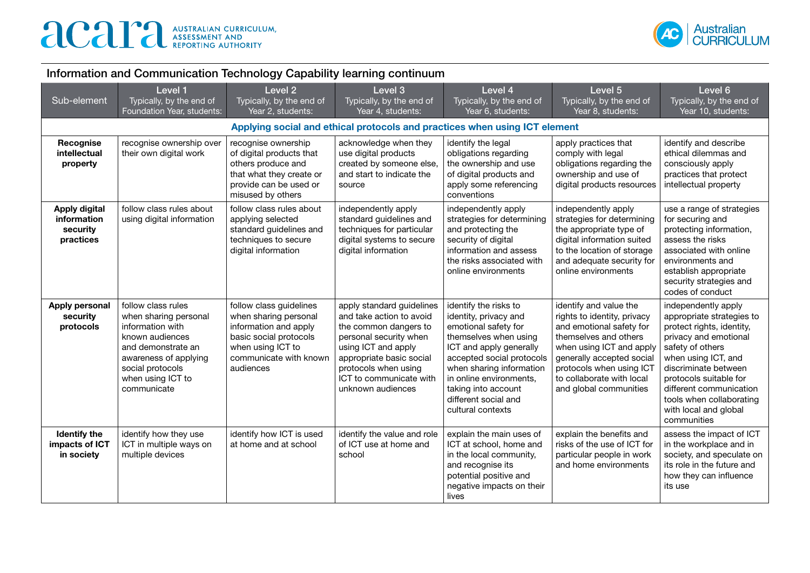

| Information and Communication Technology Capability learning continuum |  |
|------------------------------------------------------------------------|--|
|------------------------------------------------------------------------|--|

| Sub-element                                                  | Level 1<br>Typically, by the end of<br>Foundation Year, students:                                                                                                                         | Level <sub>2</sub><br>Typically, by the end of<br>Year 2, students:                                                                                             | Level 3<br>Typically, by the end of<br>Year 4, students:                                                                                                                                                                            | Level 4<br>Typically, by the end of<br>Year 6, students:                                                                                                                                                                                                                           | Level 5<br>Typically, by the end of<br>Year 8, students:                                                                                                                                                                                               | Level 6<br>Typically, by the end of<br>Year 10, students:                                                                                                                                                                                                                                          |
|--------------------------------------------------------------|-------------------------------------------------------------------------------------------------------------------------------------------------------------------------------------------|-----------------------------------------------------------------------------------------------------------------------------------------------------------------|-------------------------------------------------------------------------------------------------------------------------------------------------------------------------------------------------------------------------------------|------------------------------------------------------------------------------------------------------------------------------------------------------------------------------------------------------------------------------------------------------------------------------------|--------------------------------------------------------------------------------------------------------------------------------------------------------------------------------------------------------------------------------------------------------|----------------------------------------------------------------------------------------------------------------------------------------------------------------------------------------------------------------------------------------------------------------------------------------------------|
|                                                              |                                                                                                                                                                                           |                                                                                                                                                                 |                                                                                                                                                                                                                                     | Applying social and ethical protocols and practices when using ICT element                                                                                                                                                                                                         |                                                                                                                                                                                                                                                        |                                                                                                                                                                                                                                                                                                    |
| Recognise<br>intellectual<br>property                        | recognise ownership over<br>their own digital work                                                                                                                                        | recognise ownership<br>of digital products that<br>others produce and<br>that what they create or<br>provide can be used or<br>misused by others                | acknowledge when they<br>use digital products<br>created by someone else,<br>and start to indicate the<br>source                                                                                                                    | identify the legal<br>obligations regarding<br>the ownership and use<br>of digital products and<br>apply some referencing<br>conventions                                                                                                                                           | apply practices that<br>comply with legal<br>obligations regarding the<br>ownership and use of<br>digital products resources                                                                                                                           | identify and describe<br>ethical dilemmas and<br>consciously apply<br>practices that protect<br>intellectual property                                                                                                                                                                              |
| <b>Apply digital</b><br>information<br>security<br>practices | follow class rules about<br>using digital information                                                                                                                                     | follow class rules about<br>applying selected<br>standard guidelines and<br>techniques to secure<br>digital information                                         | independently apply<br>standard guidelines and<br>techniques for particular<br>digital systems to secure<br>digital information                                                                                                     | independently apply<br>strategies for determining<br>and protecting the<br>security of digital<br>information and assess<br>the risks associated with<br>online environments                                                                                                       | independently apply<br>strategies for determining<br>the appropriate type of<br>digital information suited<br>to the location of storage<br>and adequate security for<br>online environments                                                           | use a range of strategies<br>for securing and<br>protecting information,<br>assess the risks<br>associated with online<br>environments and<br>establish appropriate<br>security strategies and<br>codes of conduct                                                                                 |
| Apply personal<br>security<br>protocols                      | follow class rules<br>when sharing personal<br>information with<br>known audiences<br>and demonstrate an<br>awareness of applying<br>social protocols<br>when using ICT to<br>communicate | follow class guidelines<br>when sharing personal<br>information and apply<br>basic social protocols<br>when using ICT to<br>communicate with known<br>audiences | apply standard guidelines<br>and take action to avoid<br>the common dangers to<br>personal security when<br>using ICT and apply<br>appropriate basic social<br>protocols when using<br>ICT to communicate with<br>unknown audiences | identify the risks to<br>identity, privacy and<br>emotional safety for<br>themselves when using<br>ICT and apply generally<br>accepted social protocols<br>when sharing information<br>in online environments,<br>taking into account<br>different social and<br>cultural contexts | identify and value the<br>rights to identity, privacy<br>and emotional safety for<br>themselves and others<br>when using ICT and apply<br>generally accepted social<br>protocols when using ICT<br>to collaborate with local<br>and global communities | independently apply<br>appropriate strategies to<br>protect rights, identity,<br>privacy and emotional<br>safety of others<br>when using ICT, and<br>discriminate between<br>protocols suitable for<br>different communication<br>tools when collaborating<br>with local and global<br>communities |
| Identify the<br>impacts of ICT<br>in society                 | identify how they use<br>ICT in multiple ways on<br>multiple devices                                                                                                                      | identify how ICT is used<br>at home and at school                                                                                                               | identify the value and role<br>of ICT use at home and<br>school                                                                                                                                                                     | explain the main uses of<br>ICT at school, home and<br>in the local community,<br>and recognise its<br>potential positive and<br>negative impacts on their<br>lives                                                                                                                | explain the benefits and<br>risks of the use of ICT for<br>particular people in work<br>and home environments                                                                                                                                          | assess the impact of ICT<br>in the workplace and in<br>society, and speculate on<br>its role in the future and<br>how they can influence<br>its use                                                                                                                                                |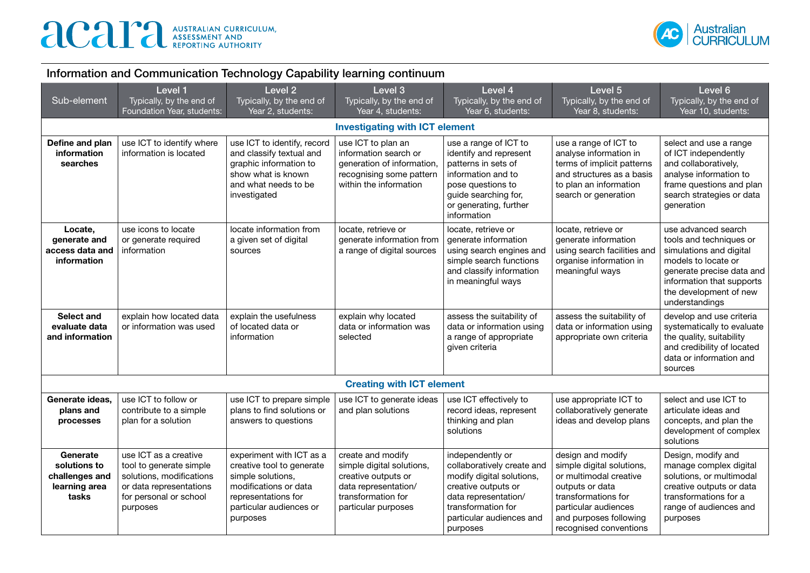

| Information and Communication Technology Capability learning continuum |                                                                                                                                               |                                                                                                                                                                   |                                                                                                                                            |                                                                                                                                                                                          |                                                                                                                                                                                                |                                                                                                                                                                                                        |
|------------------------------------------------------------------------|-----------------------------------------------------------------------------------------------------------------------------------------------|-------------------------------------------------------------------------------------------------------------------------------------------------------------------|--------------------------------------------------------------------------------------------------------------------------------------------|------------------------------------------------------------------------------------------------------------------------------------------------------------------------------------------|------------------------------------------------------------------------------------------------------------------------------------------------------------------------------------------------|--------------------------------------------------------------------------------------------------------------------------------------------------------------------------------------------------------|
| Sub-element                                                            | Level 1<br>Typically, by the end of<br>Foundation Year, students:                                                                             | Level <sub>2</sub><br>Typically, by the end of<br>Year 2, students:                                                                                               | Level 3<br>Typically, by the end of<br>Year 4, students:                                                                                   | Level 4<br>Typically, by the end of<br>Year 6, students:                                                                                                                                 | Level 5<br>Typically, by the end of<br>Year 8, students:                                                                                                                                       | Level 6<br>Typically, by the end of<br>Year 10, students:                                                                                                                                              |
|                                                                        |                                                                                                                                               |                                                                                                                                                                   | <b>Investigating with ICT element</b>                                                                                                      |                                                                                                                                                                                          |                                                                                                                                                                                                |                                                                                                                                                                                                        |
| Define and plan<br>information<br>searches                             | use ICT to identify where<br>information is located                                                                                           | use ICT to identify, record<br>and classify textual and<br>graphic information to<br>show what is known<br>and what needs to be<br>investigated                   | use ICT to plan an<br>information search or<br>generation of information,<br>recognising some pattern<br>within the information            | use a range of ICT to<br>identify and represent<br>patterns in sets of<br>information and to<br>pose questions to<br>guide searching for,<br>or generating, further<br>information       | use a range of ICT to<br>analyse information in<br>terms of implicit patterns<br>and structures as a basis<br>to plan an information<br>search or generation                                   | select and use a range<br>of ICT independently<br>and collaboratively,<br>analyse information to<br>frame questions and plan<br>search strategies or data<br>generation                                |
| Locate,<br>generate and<br>access data and<br>information              | use icons to locate<br>or generate required<br>information                                                                                    | locate information from<br>a given set of digital<br>sources                                                                                                      | locate, retrieve or<br>generate information from<br>a range of digital sources                                                             | locate, retrieve or<br>generate information<br>using search engines and<br>simple search functions<br>and classify information<br>in meaningful ways                                     | locate, retrieve or<br>generate information<br>using search facilities and<br>organise information in<br>meaningful ways                                                                       | use advanced search<br>tools and techniques or<br>simulations and digital<br>models to locate or<br>generate precise data and<br>information that supports<br>the development of new<br>understandings |
| Select and<br>evaluate data<br>and information                         | explain how located data<br>or information was used                                                                                           | explain the usefulness<br>of located data or<br>information                                                                                                       | explain why located<br>data or information was<br>selected                                                                                 | assess the suitability of<br>data or information using<br>a range of appropriate<br>given criteria                                                                                       | assess the suitability of<br>data or information using<br>appropriate own criteria                                                                                                             | develop and use criteria<br>systematically to evaluate<br>the quality, suitability<br>and credibility of located<br>data or information and<br>sources                                                 |
|                                                                        |                                                                                                                                               |                                                                                                                                                                   | <b>Creating with ICT element</b>                                                                                                           |                                                                                                                                                                                          |                                                                                                                                                                                                |                                                                                                                                                                                                        |
| Generate ideas,<br>plans and<br>processes                              | use ICT to follow or<br>contribute to a simple<br>plan for a solution                                                                         | use ICT to prepare simple<br>plans to find solutions or<br>answers to questions                                                                                   | use ICT to generate ideas<br>and plan solutions                                                                                            | use ICT effectively to<br>record ideas, represent<br>thinking and plan<br>solutions                                                                                                      | use appropriate ICT to<br>collaboratively generate<br>ideas and develop plans                                                                                                                  | select and use ICT to<br>articulate ideas and<br>concepts, and plan the<br>development of complex<br>solutions                                                                                         |
| Generate<br>solutions to<br>challenges and<br>learning area<br>tasks   | use ICT as a creative<br>tool to generate simple<br>solutions, modifications<br>or data representations<br>for personal or school<br>purposes | experiment with ICT as a<br>creative tool to generate<br>simple solutions,<br>modifications or data<br>representations for<br>particular audiences or<br>purposes | create and modify<br>simple digital solutions,<br>creative outputs or<br>data representation/<br>transformation for<br>particular purposes | independently or<br>collaboratively create and<br>modify digital solutions,<br>creative outputs or<br>data representation/<br>transformation for<br>particular audiences and<br>purposes | design and modify<br>simple digital solutions,<br>or multimodal creative<br>outputs or data<br>transformations for<br>particular audiences<br>and purposes following<br>recognised conventions | Design, modify and<br>manage complex digital<br>solutions, or multimodal<br>creative outputs or data<br>transformations for a<br>range of audiences and<br>purposes                                    |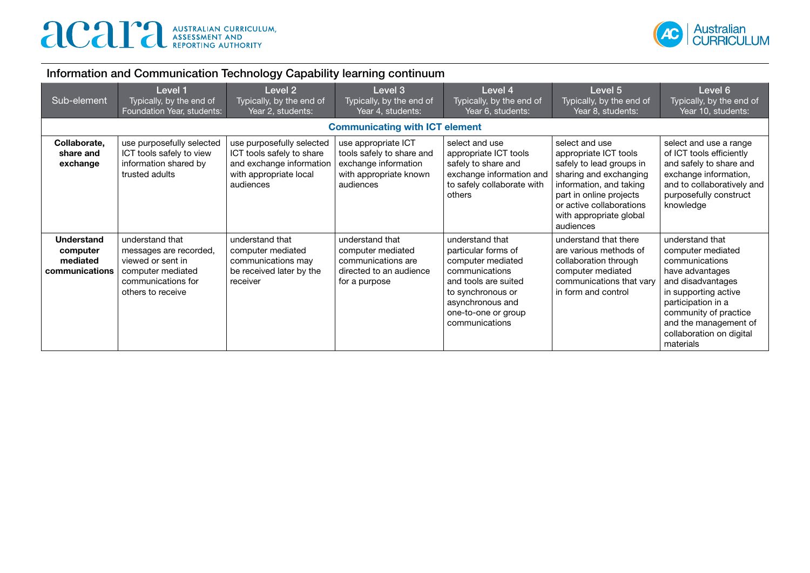

| Sub-element                                                 | Level 1<br>Typically, by the end of<br>Foundation Year, students:                                                              | Level <sub>2</sub><br>Typically, by the end of<br>Year 2, students:                                                       | Level 3<br>Typically, by the end of<br>Year 4, students:                                                        | Level 4<br>Typically, by the end of<br>Year 6, students:                                                                                                                                | Level 5<br>Typically, by the end of<br>Year 8, students:                                                                                                                                                                | Level 6<br>Typically, by the end of<br>Year 10, students:                                                                                                                                                                               |
|-------------------------------------------------------------|--------------------------------------------------------------------------------------------------------------------------------|---------------------------------------------------------------------------------------------------------------------------|-----------------------------------------------------------------------------------------------------------------|-----------------------------------------------------------------------------------------------------------------------------------------------------------------------------------------|-------------------------------------------------------------------------------------------------------------------------------------------------------------------------------------------------------------------------|-----------------------------------------------------------------------------------------------------------------------------------------------------------------------------------------------------------------------------------------|
|                                                             |                                                                                                                                |                                                                                                                           | <b>Communicating with ICT element</b>                                                                           |                                                                                                                                                                                         |                                                                                                                                                                                                                         |                                                                                                                                                                                                                                         |
| Collaborate,<br>share and<br>exchange                       | use purposefully selected<br>ICT tools safely to view<br>information shared by<br>trusted adults                               | use purposefully selected<br>ICT tools safely to share<br>and exchange information<br>with appropriate local<br>audiences | use appropriate ICT<br>tools safely to share and<br>exchange information<br>with appropriate known<br>audiences | select and use<br>appropriate ICT tools<br>safely to share and<br>exchange information and<br>to safely collaborate with<br>others                                                      | select and use<br>appropriate ICT tools<br>safely to lead groups in<br>sharing and exchanging<br>information, and taking<br>part in online projects<br>or active collaborations<br>with appropriate global<br>audiences | select and use a range<br>of ICT tools efficiently<br>and safely to share and<br>exchange information,<br>and to collaboratively and<br>purposefully construct<br>knowledge                                                             |
| <b>Understand</b><br>computer<br>mediated<br>communications | understand that<br>messages are recorded,<br>viewed or sent in<br>computer mediated<br>communications for<br>others to receive | understand that<br>computer mediated<br>communications may<br>be received later by the<br>receiver                        | understand that<br>computer mediated<br>communications are<br>directed to an audience<br>for a purpose          | understand that<br>particular forms of<br>computer mediated<br>communications<br>and tools are suited<br>to synchronous or<br>asynchronous and<br>one-to-one or group<br>communications | understand that there<br>are various methods of<br>collaboration through<br>computer mediated<br>communications that vary<br>in form and control                                                                        | understand that<br>computer mediated<br>communications<br>have advantages<br>and disadvantages<br>in supporting active<br>participation in a<br>community of practice<br>and the management of<br>collaboration on digital<br>materials |